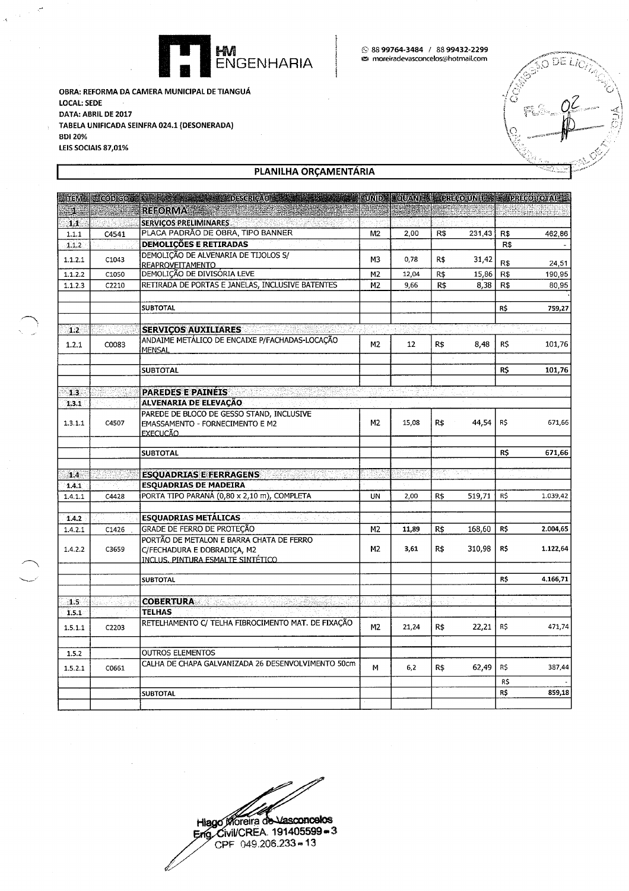

OBRA: REFORMA DA CAMERA MUNICIPAL DE TIANGUÁ **LOCAL: SEDE** DATA: ABRIL DE 2017 TABELA UNIFICADA SEINFRA 024.1 (DESONERADA) **BDI 20%** LEIS SOCIAIS 87,01%

 $\bar{\mathcal{A}}$ 

DELK A

## PLANILHA ORÇAMENTÁRIA

|         |       | <b>MILEMAN CODIGO AND ALCOHOL</b><br><b>DESCRICAO</b>                   |                |       |     |        |     | UNIDE QUANTEL PRECOUNITY PRECOTOTAL |
|---------|-------|-------------------------------------------------------------------------|----------------|-------|-----|--------|-----|-------------------------------------|
| $1\%$   |       | <b>REFORMA</b>                                                          |                |       |     |        |     | <u>ng stad nat</u>                  |
| 1.1     |       | <b>SERVICOS PRELIMINARES</b><br>47                                      |                |       |     |        |     |                                     |
| 1.1.1   | C4541 | PLACA PADRÃO DE OBRA, TIPO BANNER                                       | M2             | 2,00  | R\$ | 231,43 | R\$ | 462,86                              |
| 1.1.2   |       | <b>DEMOLIÇÕES E RETIRADAS</b>                                           |                |       |     |        | R\$ |                                     |
| 1.1.2.1 | C1043 | DEMOLIÇÃO DE ALVENARIA DE TIJOLOS S/                                    | М3             | 0,78  | R\$ | 31,42  |     |                                     |
|         |       | <b>REAPROVEITAMENTO</b>                                                 |                |       |     |        | R\$ | 24,51                               |
| 1.1.2.2 | C1050 | DEMOLIÇÃO DE DIVISÓRIA LEVE                                             | M2             | 12,04 | R\$ | 15,86  | R\$ | 190,95                              |
| 1.1.2.3 | C2210 | RETIRADA DE PORTAS E JANELAS, INCLUSIVE BATENTES                        | M <sub>2</sub> | 9,66  | R\$ | 8,38   | R\$ | 80,95                               |
|         |       | <b>SUBTOTAL</b>                                                         |                |       |     |        | R\$ | 759,27                              |
| 1.2     |       | <b>SERVIÇOS AUXILIARES</b>                                              |                |       |     |        |     | $2\pi\sqrt{2}$                      |
|         |       | ANDAIME METÁLICO DE ENCAIXE P/FACHADAS-LOCAÇÃO                          |                |       |     |        |     |                                     |
| 1.2.1   | C0083 | <b>MENSAL</b>                                                           | M <sub>2</sub> | 12    | R\$ | 8,48   | R\$ | 101,76                              |
|         |       | <b>SUBTOTAL</b>                                                         |                |       |     |        | R\$ | 101,76                              |
| 1.3.    |       | <b>PAREDES E PAINEIS</b>                                                |                |       |     |        |     |                                     |
| 1.3.1   | e sur | ALVENARIA DE ELEVAÇÃO                                                   |                |       |     |        |     |                                     |
|         |       | PAREDE DE BLOCO DE GESSO STAND, INCLUSIVE                               |                |       |     |        |     |                                     |
| 1.3.1.1 | C4507 | EMASSAMENTO - FORNECIMENTO E M2<br>EXECUCÃO_                            | M2             | 15,08 | R\$ | 44,54  | R\$ | 671,66                              |
|         |       | <b>SUBTOTAL</b>                                                         |                |       |     |        | R\$ | 671,66                              |
|         |       |                                                                         |                |       |     |        |     |                                     |
| 1.4.    |       | <b>ESQUADRIAS E FERRAGENS</b>                                           |                |       |     |        |     |                                     |
| 1.4.1   |       | <b>ESQUADRIAS DE MADEIRA</b>                                            |                |       |     |        |     |                                     |
| 1.4.1.1 | C4428 | PORTA TIPO PARANÁ (0,80 x 2,10 m), COMPLETA                             | UN             | 2,00  | R\$ | 519,71 | R\$ | 1.039,42                            |
| 1.4.2   |       | <b>ESQUADRIAS METÁLICAS</b>                                             |                |       |     |        |     |                                     |
| 1.4.2.1 | C1426 | GRADE DE FERRO DE PROTEÇÃO                                              | M2             | 11,89 | R\$ | 168,60 | R\$ | 2.004,65                            |
| 1.4.2.2 | C3659 | PORTÃO DE METALON E BARRA CHATA DE FERRO<br>C/FECHADURA E DOBRADIÇA, M2 | M <sub>2</sub> | 3,61  | R\$ | 310,98 | R\$ | 1.122,64                            |
|         |       | <u>INCLUS, PINTURA ESMALTE SINTÉTICO.</u>                               |                |       |     |        |     |                                     |
|         |       | <b>SUBTOTAL</b>                                                         |                |       |     |        | R\$ | 4.166,71                            |
|         |       |                                                                         |                |       |     |        |     |                                     |
| 1.5.    |       | <b>COBERTURA</b>                                                        | in.            |       |     |        |     |                                     |
| 1.5.1   |       | <b>TELHAS</b>                                                           |                |       |     |        |     |                                     |
| 1.5.1.1 | C2203 | RETELHAMENTO C/ TELHA FIBROCIMENTO MAT. DE FIXAÇÃO                      | M2             | 21,24 | R\$ | 22,21  | R\$ | 471,74                              |
| 1.5.2   |       | <b>OUTROS ELEMENTOS</b>                                                 |                |       |     |        |     |                                     |
|         |       | CALHA DE CHAPA GALVANIZADA 26 DESENVOLVIMENTO 50cm                      |                |       |     |        |     |                                     |
| 1.5.2.1 | C0661 |                                                                         | М              | 6,2   | R\$ | 62,49  | R\$ | 387,44                              |
|         |       |                                                                         |                |       |     |        | R\$ |                                     |
|         |       | <b>SUBTOTAL</b>                                                         |                |       |     |        | R\$ | 859,18                              |
|         |       |                                                                         |                |       |     |        |     |                                     |

Hiago Moreira de Vasconcelos<br>Eng. Civil/CREA. 191405599 = 3<br>CPF 049.206.233 = 13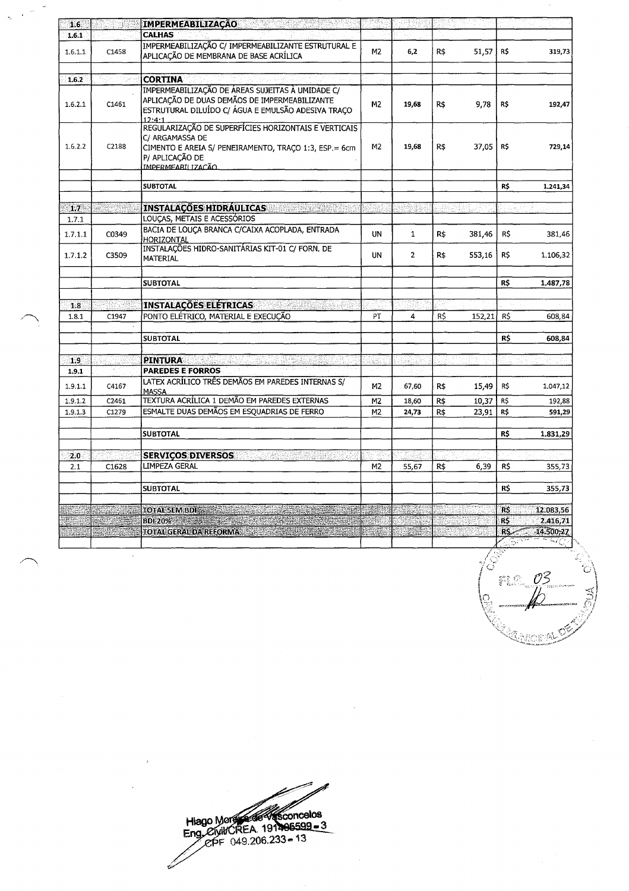| 1.6        | K TX                            | <b>IMPERMEABILIZAÇÃO</b>                                                                                                                                                                                                       |                |                |      |        |                 |           |
|------------|---------------------------------|--------------------------------------------------------------------------------------------------------------------------------------------------------------------------------------------------------------------------------|----------------|----------------|------|--------|-----------------|-----------|
| 1.6.1      |                                 | <b>CALHAS</b>                                                                                                                                                                                                                  |                |                |      |        |                 |           |
| 1.6.1.1    | C1458                           | IMPERMEABILIZAÇÃO C/ IMPERMEABILIZANTE ESTRUTURAL E<br>APLICAÇÃO DE MEMBRANA DE BASE ACRÍLICA                                                                                                                                  | M2             | 6,2            | R\$  | 51,57  | R\$             | 319,73    |
| 1.6.2      |                                 | <b>CORTINA</b>                                                                                                                                                                                                                 |                |                |      |        |                 |           |
| 1.6.2.1    | C1461                           | IMPERMEABILIZAÇÃO DE ÁREAS SUJEITAS À UMIDADE C/<br>APLICAÇÃO DE DUAS DEMÃOS DE IMPERMEABILIZANTE<br>ESTRUTURAL DILUÍDO C/ ÁGUA E EMULSÃO ADESIVA TRAÇO<br>12.4.1                                                              | M <sub>2</sub> | 19,68          | R\$  | 9,78   | R\$             | 192,47    |
| 1.6.2.2    | C2188                           | REGULARIZAÇÃO DE SUPERFÍCIES HORIZONTAIS E VERTICAIS<br>C/ ARGAMASSA DE<br>CIMENTO E AREIA S/ PENEIRAMENTO, TRAÇO 1:3, ESP.= 6cm<br>P/ APLICAÇÃO DE<br>IMPERMEARII IZACÃO                                                      | M2             | 19,68          | R\$  | 37,05  | R\$             | 729,14    |
|            |                                 | <b>SUBTOTAL</b>                                                                                                                                                                                                                |                |                |      |        | R\$             | 1.241,34  |
| $1.7 -$    | uran Kabu                       | <b>INSTALAÇÕES HIDRÁULICAS AND LOS DE LA PARTICIPAL</b>                                                                                                                                                                        | 9H             | ry.            |      |        |                 |           |
| 1.7.1      |                                 | LOUCAS, METAIS E ACESSÓRIOS                                                                                                                                                                                                    |                |                |      |        |                 |           |
| 1.7.1.1    | C0349                           | BACIA DE LOUÇA BRANCA C/CAIXA ACOPLADA, ENTRADA<br>HORIZONTAL                                                                                                                                                                  | UN             | $\mathbf{1}$   | R\$  | 381,46 | R\$             | 381,46    |
| 1.7.1.2    | C3509                           | INSTALAÇÕES HIDRO-SANITÁRIAS KIT-01 C/ FORN. DE<br>MATERIAL                                                                                                                                                                    | <b>UN</b>      | $\overline{2}$ | R\$  | 553,16 | R\$             | 1.106,32  |
|            |                                 | <b>SUBTOTAL</b>                                                                                                                                                                                                                |                |                |      |        | R\$             | 1.487,78  |
|            | 적합 사회                           |                                                                                                                                                                                                                                |                |                |      |        |                 |           |
| 1.8        |                                 | <b>INSTALAÇÕES ELETRICAS</b><br>PONTO ELÉTRICO, MATERIAL E EXECUÇÃO                                                                                                                                                            |                |                |      |        |                 |           |
| 1.8.1      | C1947                           |                                                                                                                                                                                                                                | PT             | 4              | R\$  | 152,21 | R\$             | 608,84    |
|            |                                 | <b>SUBTOTAL</b>                                                                                                                                                                                                                |                |                |      |        | R\$             | 608,84    |
| 1.9        |                                 | <b>PINTURA</b>                                                                                                                                                                                                                 |                |                |      |        |                 |           |
| 1.9.1      |                                 | <b>PAREDES E FORROS</b>                                                                                                                                                                                                        |                |                |      |        |                 |           |
| 1.9.1.1    | C4167                           | LATEX ACRÍLICO TRÊS DEMÃOS EM PAREDES INTERNAS S/<br><b>MASSA</b>                                                                                                                                                              | M <sub>2</sub> | 67,60          | $R\$ | 15,49  | R\$             | 1.047,12  |
| 1.9.1.2    | C2461                           | TEXTURA ACRÍLICA 1 DEMÃO EM PAREDES EXTERNAS                                                                                                                                                                                   | M <sub>2</sub> | 18,60          | R\$  | 10,37  | R\$             | 192,88    |
| 1.9.1.3    | C1279                           | ESMALTE DUAS DEMÃOS EM ESQUADRIAS DE FERRO                                                                                                                                                                                     | M2             | 24,73          | R\$  | 23,91  | R\$             | 591,29    |
|            |                                 | <b>SUBTOTAL</b>                                                                                                                                                                                                                |                |                |      |        | R\$             | 1.831,29  |
|            |                                 |                                                                                                                                                                                                                                |                |                |      |        |                 |           |
| 2.0<br>2.1 |                                 | <b>SERVICOS DIVERSOS</b><br>$\Delta \theta^{\rm th}$<br><b>LIMPEZA GERAL</b>                                                                                                                                                   | M <sub>2</sub> |                | R\$  |        |                 |           |
|            | C1628                           |                                                                                                                                                                                                                                |                | 55,67          |      | 6,39   | R\$             | 355,73    |
|            |                                 | <b>SUBTOTAL</b>                                                                                                                                                                                                                |                |                |      |        | <b>R\$</b>      | 355,73    |
|            |                                 | <b>TOTAL SEM BDI</b>                                                                                                                                                                                                           |                |                |      |        | <b>RS</b>       | 12.083,56 |
|            |                                 | BDI 20% and the state of the state of the state of the state of the state of the state of the state of the state of the state of the state of the state of the state of the state of the state of the state of the state of th |                |                |      |        | R\$             | 2.416,71  |
| 15. J      | em romana a litte<br>Litteratur | TOTAL GERAL DA REFORMA AND A STATE AND A STATE AND A                                                                                                                                                                           |                |                |      |        | RS <sub>-</sub> | 14.500,27 |
|            |                                 |                                                                                                                                                                                                                                |                |                |      |        | u sayawe        | ムだ        |

Ļ,

J. d FLC 03 itor A

Hiago More<br>Eng. Civil CREA 191406599-3<br>
Francisco 19149.206.233-13

 $\mathcal{A}^{\mathcal{A}}$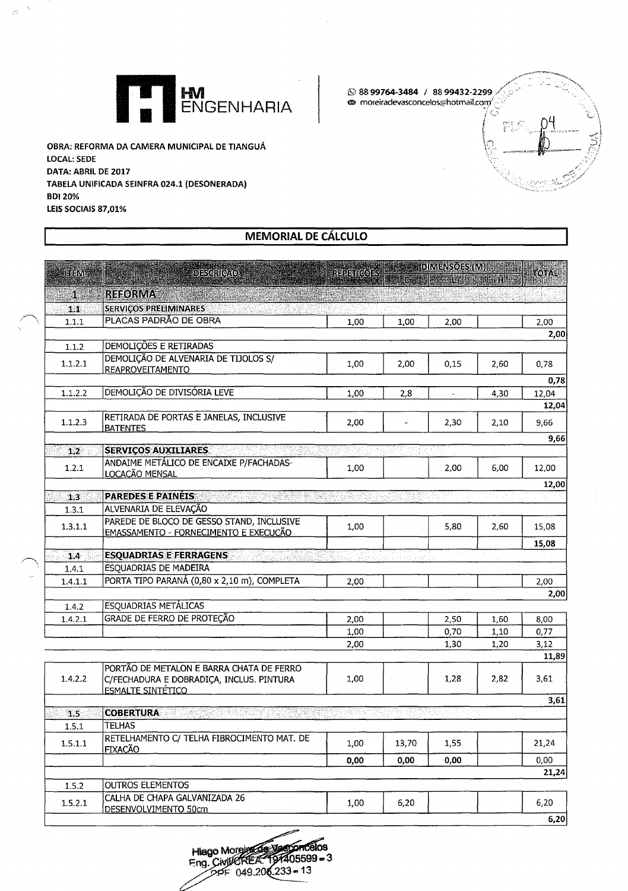

OBRA: REFORMA DA CAMERA MUNICIPAL DE TIANGUÁ **LOCAL: SEDE** DATA: ABRIL DE 2017 TABELA UNIFICADA SEINFRA 024.1 (DESONERADA) **BDI 20%** LEIS SOCIAIS 87,01%

 $\mathbb{R}^2$ 

◎ 88 99764-3484 / 88 99432-2299 s moreiradevasconcelos@hotmail.com/

**MEMORIAL DE CÁLCULO** 

| <b>ITEM</b>  | <b>DESCRICAO</b>                                                     |      | REPETICORS COINENSOES (M) | <b>CAR EACH CAR</b> |      | <b>TOIPAL</b> |
|--------------|----------------------------------------------------------------------|------|---------------------------|---------------------|------|---------------|
| $\mathbf{1}$ | <b>REFORMA</b>                                                       |      |                           |                     |      |               |
| 1.1.         | <b>SERVIÇOS PRELIMINARES</b>                                         |      |                           |                     |      |               |
| 1.1.1        | PLACAS PADRÃO DE OBRA                                                | 1,00 | 1,00                      | 2,00                |      | 2,00          |
|              |                                                                      |      |                           |                     |      | 2,00          |
| 1.1.2        | DEMOLIÇÕES E RETIRADAS                                               |      |                           |                     |      |               |
|              | DEMOLIÇÃO DE ALVENARIA DE TIJOLOS S/                                 |      |                           |                     |      |               |
| 1.1.2.1      | <b>REAPROVEITAMENTO</b>                                              | 1.00 | 2.00                      | 0,15                | 2.60 | 0,78          |
|              |                                                                      |      |                           |                     |      | 0,78          |
| 1.1.2.2      | DEMOLIÇÃO DE DIVISÓRIA LEVE                                          | 1,00 | 2,8                       |                     | 4,30 | 12,04         |
|              |                                                                      |      |                           |                     |      | 12,04         |
| 1.1.2.3      | RETIRADA DE PORTAS E JANELAS, INCLUSIVE                              | 2,00 |                           | 2,30                | 2,10 | 9.66          |
|              | <b>BATENTES</b>                                                      |      |                           |                     |      | 9,66          |
| 1.2          | <b>SERVIÇOS AUXILIARES</b>                                           |      |                           |                     |      |               |
|              | ANDAIME METÁLICO DE ENCAIXE P/FACHADAS-                              |      |                           |                     |      |               |
| 1.2.1        | LOCAÇÃO MENSAL                                                       | 1,00 |                           | 2,00                | 6,00 | 12,00         |
|              |                                                                      |      |                           |                     |      | 12,00         |
| 1.3          | <b>PAREDES E PAINÉIS</b>                                             |      |                           |                     |      |               |
| 1.3.1        | ALVENARIA DE ELEVAÇÃO                                                |      |                           |                     |      |               |
| 1.3.1.1      | PAREDE DE BLOCO DE GESSO STAND, INCLUSIVE                            | 1,00 |                           | 5,80                | 2,60 | 15,08         |
|              | EMASSAMENTO - FORNECIMENTO E EXECUÇÃO                                |      |                           |                     |      |               |
|              |                                                                      |      |                           |                     |      | 15,08         |
| 1.4          | <b>ESQUADRIAS E FERRAGENS</b><br>- 1949<br>1940 - 1940               |      |                           |                     |      |               |
| 1.4.1        | <b>ESQUADRIAS DE MADEIRA</b>                                         |      |                           |                     |      |               |
| 1.4.1.1      | PORTA TIPO PARANÁ (0,80 x 2,10 m), COMPLETA                          | 2,00 |                           |                     |      | 2,00          |
|              |                                                                      |      |                           |                     |      | 2,00          |
| 1.4.2        | <b>ESQUADRIAS METÁLICAS</b>                                          |      |                           |                     |      |               |
| 1.4.2.1      | <b>GRADE DE FERRO DE PROTEÇÃO</b>                                    | 2,00 |                           | 2,50                | 1,60 | 8,00          |
|              |                                                                      | 1,00 |                           | 0,70                | 1,10 | 0,77          |
|              |                                                                      | 2,00 |                           | 1,30                | 1,20 | 3,12          |
|              |                                                                      |      |                           |                     |      | 11,89         |
| 1.4.2.2      | PORTÃO DE METALON E BARRA CHATA DE FERRO                             |      |                           |                     |      |               |
|              | C/FECHADURA E DOBRADIÇA, INCLUS. PINTURA<br><b>ESMALTE SINTÉTICO</b> | 1,00 |                           | 1,28                | 2,82 | 3,61          |
|              |                                                                      |      |                           |                     |      | 3,61          |
| 1.5          | <b>COBERTURA</b>                                                     |      |                           |                     |      |               |
| 1.5.1        | <b>TELHAS</b>                                                        |      |                           |                     |      |               |
|              | RETELHAMENTO C/ TELHA FIBROCIMENTO MAT. DE                           |      |                           |                     |      |               |
| 1.5.1.1      | FIXACÃO                                                              | 1,00 | 13,70                     | 1,55                |      | 21,24         |
|              |                                                                      | 0,00 | 0,00                      | 0,00                |      | 0,00          |
|              |                                                                      |      |                           |                     |      | 21,24         |
| 1.5.2        | OUTROS ELEMENTOS                                                     |      |                           |                     |      |               |
| 1.5.2.1      | CALHA DE CHAPA GALVANIZADA 26                                        | 1,00 | 6,20                      |                     |      | 6,20          |
|              | DESENVOLVIMENTO 50cm                                                 |      |                           |                     |      |               |
|              |                                                                      |      |                           |                     |      | 6,20          |

Hiago Morein 2014 Concelos<br>Eng. Civil CREA 191405599 = 3<br>2016 233 = 13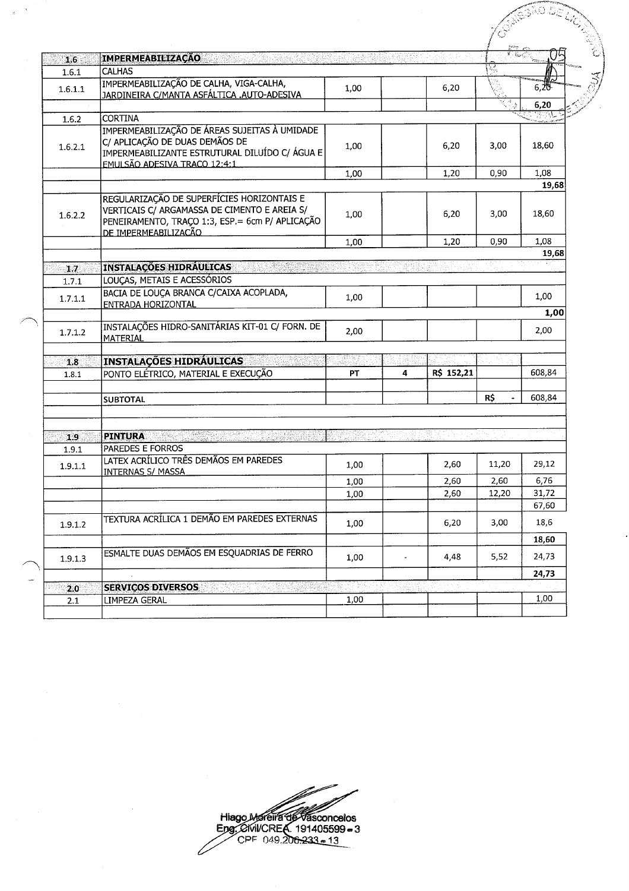| 1.6        | <b>IMPERMEABILIZAÇÃO</b>                                                                                                                                              |      |                          |            |                |        |
|------------|-----------------------------------------------------------------------------------------------------------------------------------------------------------------------|------|--------------------------|------------|----------------|--------|
| 1.6.1      | <b>CALHAS</b>                                                                                                                                                         |      |                          |            |                |        |
| 1.6.1.1    | IMPERMEABILIZAÇÃO DE CALHA, VIGA-CALHA,<br>JARDINEIRA C/MANTA ASFÁLTICA .AUTO-ADESIVA                                                                                 | 1,00 |                          | 6,20       |                | 6.20   |
|            |                                                                                                                                                                       |      |                          |            |                | 6,20   |
| 1.6.2      | <b>CORTINA</b>                                                                                                                                                        |      |                          |            |                |        |
| 1.6.2.1    | IMPERMEABILIZAÇÃO DE ÁREAS SUJEITAS À UMIDADE<br>C/ APLICAÇÃO DE DUAS DEMÃOS DE<br>IMPERMEABILIZANTE ESTRUTURAL DILUÍDO C/ ÁGUA E<br>EMULSÃO ADESIVA TRACO 12:4:1     | 1,00 |                          | 6,20       | 3,00           | 18,60  |
|            |                                                                                                                                                                       | 1,00 |                          | 1,20       | 0,90           | 1,08   |
|            |                                                                                                                                                                       |      |                          |            |                | 19,68  |
| 1.6.2.2    | REGULARIZAÇÃO DE SUPERFÍCIES HORIZONTAIS E<br>VERTICAIS C/ ARGAMASSA DE CIMENTO E AREIA S/<br>PENEIRAMENTO, TRAÇO 1:3, ESP.= 6cm P/ APLICAÇÃO<br>DE IMPERMEABILIZACÃO | 1,00 |                          | 6,20       | 3,00           | 18,60  |
|            |                                                                                                                                                                       | 1,00 |                          | 1,20       | 0,90           | 1,08   |
|            |                                                                                                                                                                       |      |                          |            |                | 19,68  |
| $1.7$      | <b>INSTALAÇÕES HIDRÁULICAS</b>                                                                                                                                        |      |                          |            |                |        |
| 1.7.1      | LOUÇAS, METAIS E ACESSÓRIOS                                                                                                                                           |      |                          |            |                |        |
| 1.7.1.1    | BACIA DE LOUÇA BRANCA C/CAIXA ACOPLADA,<br>ENTRADA HORIZONTAL                                                                                                         | 1,00 |                          |            |                | 1,00   |
|            |                                                                                                                                                                       |      |                          |            |                | 1,00   |
| 1.7.1.2    | INSTALAÇÕES HIDRO-SANITÁRIAS KIT-01 C/ FORN. DE<br><b>IMATERIAL</b>                                                                                                   | 2,00 |                          |            |                | 2,00   |
|            |                                                                                                                                                                       | 3892 |                          |            |                |        |
| 1.8        | <b>INSTALAÇÕES HIDRÁULICAS</b>                                                                                                                                        |      |                          |            |                |        |
| 1.8.1      | PONTO ELÉTRICO, MATERIAL E EXECUÇÃO                                                                                                                                   | PТ   | 4                        | R\$ 152,21 |                | 608,84 |
|            | <b>SUBTOTAL</b>                                                                                                                                                       |      |                          |            | R\$            | 608,84 |
|            |                                                                                                                                                                       |      |                          |            |                |        |
| 1.9        | <b>PINTURA</b>                                                                                                                                                        |      |                          |            | المواقف والمنا |        |
| 1.9.1      | <b>PAREDES E FORROS</b>                                                                                                                                               |      |                          |            |                |        |
| 1.9.1.1    | LATEX ACRÍLICO TRÊS DEMÃOS EM PAREDES<br><b>INTERNAS S/ MASSA</b>                                                                                                     | 1,00 |                          | 2,60       | 11,20          | 29,12  |
|            |                                                                                                                                                                       | 1,00 |                          | 2,60       | 2,60           | 6,76   |
|            |                                                                                                                                                                       | 1,00 |                          | 2,60       | 12,20          | 31,72  |
|            |                                                                                                                                                                       |      |                          |            |                | 67,60  |
| 1.9.1.2    | TEXTURA ACRÍLICA 1 DEMÃO EM PAREDES EXTERNAS                                                                                                                          | 1,00 |                          | 6,20       | 3,00           | 18,6   |
|            |                                                                                                                                                                       |      |                          |            |                | 18,60  |
|            |                                                                                                                                                                       |      |                          |            | 5,52           | 24,73  |
| 1.9.1.3    | ESMALTE DUAS DEMÃOS EM ESQUADRIAS DE FERRO                                                                                                                            | 1,00 | $\overline{\phantom{a}}$ | 4,48       |                |        |
|            |                                                                                                                                                                       |      |                          |            |                | 24,73  |
|            | <b>SERVIÇOS DIVERSOS</b>                                                                                                                                              |      |                          |            |                |        |
| 2.0<br>2.1 | LIMPEZA GERAL                                                                                                                                                         | 1,00 |                          |            |                | 1,00   |

 $\bar{\alpha}$  $\frac{1}{2}$ 

 $\overline{a}$ 

Hiago Moreira de Vasconcelos<br>Eng. Civil/CREA 191405599 = 3  $\angle$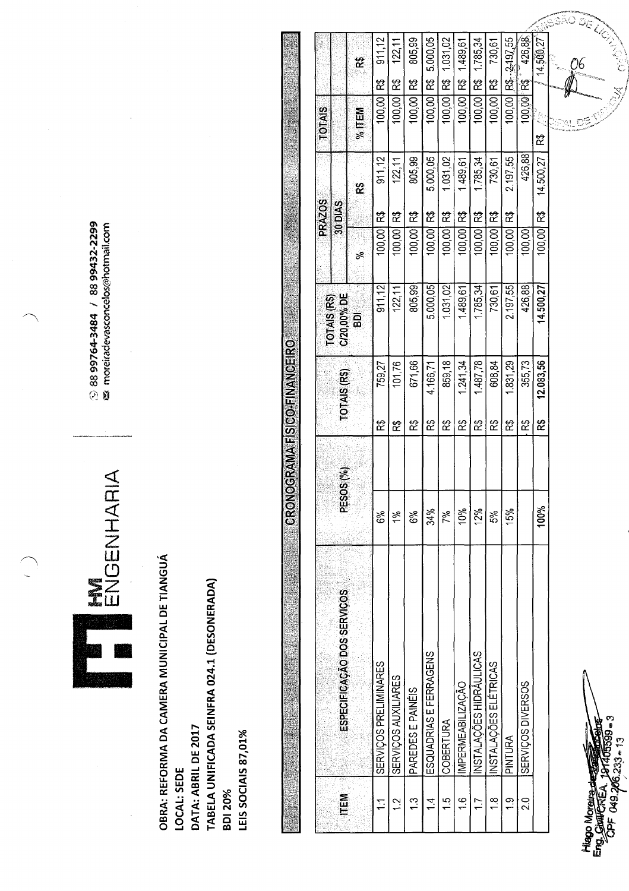S 88 99764-3484 / 88 99432-2299<br><a moreiradevasconcelos@hotmail.com

ENGENHARIA

OBRA: REFORMA DA CAMERA MUNICIPAL DE TIANGUÁ TABELA UNIFICADA SEINFRA 024.1 (DESONERADA) DATA: ABRIL DE 2017 LEIS SOCIAIS 87,01% LOCAL: SEDE **BDI 20%** 

| $R3 - 2 - 197.55$<br>89<br>R)<br>100,00 R\$<br>တု<br>ස්<br>ិ៍<br>$\approx$<br>$\tilde{\mathbf{g}}$<br>岔<br>100,00 R\$<br>100,00<br>100,00<br>100,00<br>100,00<br>100,00<br>100,00<br>100,00<br>100,00<br>$%$ TEM<br>ಜ<br>426,88<br>911,12<br>805,99<br>5.000,05<br>1.031,02<br>1.785,34<br>2.197,55<br>14.500,27<br>122, 11<br>1.489,61<br>730,61<br>83<br>30 DIAS<br>R\$<br>R)<br>ಜಿ<br>100,00 R\$<br>ិ៍<br>ಜಿ<br>R\$<br>ಜಿ<br>R)<br>ಜಿ<br>100,00<br>100,00<br>100,00<br>100,00<br>100,00<br>100,00<br>100,00<br>100,00<br>100,00<br>ಕ<br>5,000,05<br>1.031,02<br>426,88<br>911,12<br>805,99<br>1785,34<br>2.197,55<br>1,489,61<br>122,11<br>730,61<br>C/20,00% DE<br>$\overline{a}$<br>859,18<br>671,66<br>1.487,78<br>608,84<br>355,73<br>101,76<br>1,241,34<br>1.831,29<br>759,27<br>4.166,71<br>TOTAIS (R\$)<br>8<br>ଝ<br>笓<br>ಜ<br>ಜ<br>တွ<br>က္ရွ<br>ಜ<br>ಜ<br>တွ<br>$\widetilde{\mathbf{S}}^{(9)}$<br><b>DESO</b><br>100%<br>10%<br>12%<br>34%<br>15%<br>5%<br>6%<br>7%<br>6%<br>1%<br>ESPECIFICAÇÃO DOS SERVIÇOS<br>INSTALAÇÕES HIDRAULICAS<br>ESQUADRIAS E FERRAGENS<br>INSTALAÇÕES ELETRICAS<br>SERVIÇOS PRELIMINARES<br>SERVIÇOS AUXILIARES<br>SERVIÇOS DIVERSOS<br>IMPERMEABILIZAÇÃO<br>PAREDES E PAINEIS<br>COBERTURA<br>PINTURA<br><b>MEL</b><br>$\frac{3}{2}$<br>$\frac{6}{1}$<br>$\frac{0}{2}$<br>$\frac{2}{1}$<br>$\frac{4}{1}$<br>$\bar{5}$<br>$\overline{1}$<br>$\frac{8}{1}$<br>$\frac{1}{2}$<br>こ |  |     |           |                    | <b>PRAZOS</b> | <b>SIQL</b> |           |
|-------------------------------------------------------------------------------------------------------------------------------------------------------------------------------------------------------------------------------------------------------------------------------------------------------------------------------------------------------------------------------------------------------------------------------------------------------------------------------------------------------------------------------------------------------------------------------------------------------------------------------------------------------------------------------------------------------------------------------------------------------------------------------------------------------------------------------------------------------------------------------------------------------------------------------------------------------------------------------------------------------------------------------------------------------------------------------------------------------------------------------------------------------------------------------------------------------------------------------------------------------------------------------------------------------------------------------------------------------------------------------------------------------------------------|--|-----|-----------|--------------------|---------------|-------------|-----------|
|                                                                                                                                                                                                                                                                                                                                                                                                                                                                                                                                                                                                                                                                                                                                                                                                                                                                                                                                                                                                                                                                                                                                                                                                                                                                                                                                                                                                                         |  |     |           | <b>TOTAIS (RS)</b> |               |             |           |
|                                                                                                                                                                                                                                                                                                                                                                                                                                                                                                                                                                                                                                                                                                                                                                                                                                                                                                                                                                                                                                                                                                                                                                                                                                                                                                                                                                                                                         |  |     |           |                    |               |             |           |
|                                                                                                                                                                                                                                                                                                                                                                                                                                                                                                                                                                                                                                                                                                                                                                                                                                                                                                                                                                                                                                                                                                                                                                                                                                                                                                                                                                                                                         |  |     |           |                    |               |             | 911,12    |
|                                                                                                                                                                                                                                                                                                                                                                                                                                                                                                                                                                                                                                                                                                                                                                                                                                                                                                                                                                                                                                                                                                                                                                                                                                                                                                                                                                                                                         |  |     |           |                    |               |             | 122, 11   |
|                                                                                                                                                                                                                                                                                                                                                                                                                                                                                                                                                                                                                                                                                                                                                                                                                                                                                                                                                                                                                                                                                                                                                                                                                                                                                                                                                                                                                         |  |     |           |                    |               |             | 805,99    |
|                                                                                                                                                                                                                                                                                                                                                                                                                                                                                                                                                                                                                                                                                                                                                                                                                                                                                                                                                                                                                                                                                                                                                                                                                                                                                                                                                                                                                         |  |     |           |                    |               |             | 5,000,05  |
|                                                                                                                                                                                                                                                                                                                                                                                                                                                                                                                                                                                                                                                                                                                                                                                                                                                                                                                                                                                                                                                                                                                                                                                                                                                                                                                                                                                                                         |  |     |           |                    |               |             | 1,031,02  |
|                                                                                                                                                                                                                                                                                                                                                                                                                                                                                                                                                                                                                                                                                                                                                                                                                                                                                                                                                                                                                                                                                                                                                                                                                                                                                                                                                                                                                         |  |     |           |                    |               |             | 1.489,61  |
|                                                                                                                                                                                                                                                                                                                                                                                                                                                                                                                                                                                                                                                                                                                                                                                                                                                                                                                                                                                                                                                                                                                                                                                                                                                                                                                                                                                                                         |  |     |           |                    |               |             | 1.785,34  |
|                                                                                                                                                                                                                                                                                                                                                                                                                                                                                                                                                                                                                                                                                                                                                                                                                                                                                                                                                                                                                                                                                                                                                                                                                                                                                                                                                                                                                         |  |     |           |                    |               |             | 730,61    |
|                                                                                                                                                                                                                                                                                                                                                                                                                                                                                                                                                                                                                                                                                                                                                                                                                                                                                                                                                                                                                                                                                                                                                                                                                                                                                                                                                                                                                         |  |     |           |                    |               |             |           |
|                                                                                                                                                                                                                                                                                                                                                                                                                                                                                                                                                                                                                                                                                                                                                                                                                                                                                                                                                                                                                                                                                                                                                                                                                                                                                                                                                                                                                         |  |     |           |                    |               |             | 426,88    |
|                                                                                                                                                                                                                                                                                                                                                                                                                                                                                                                                                                                                                                                                                                                                                                                                                                                                                                                                                                                                                                                                                                                                                                                                                                                                                                                                                                                                                         |  | R\$ | 12.083,56 | 14.500,27          | 100,00        |             | 14.500,27 |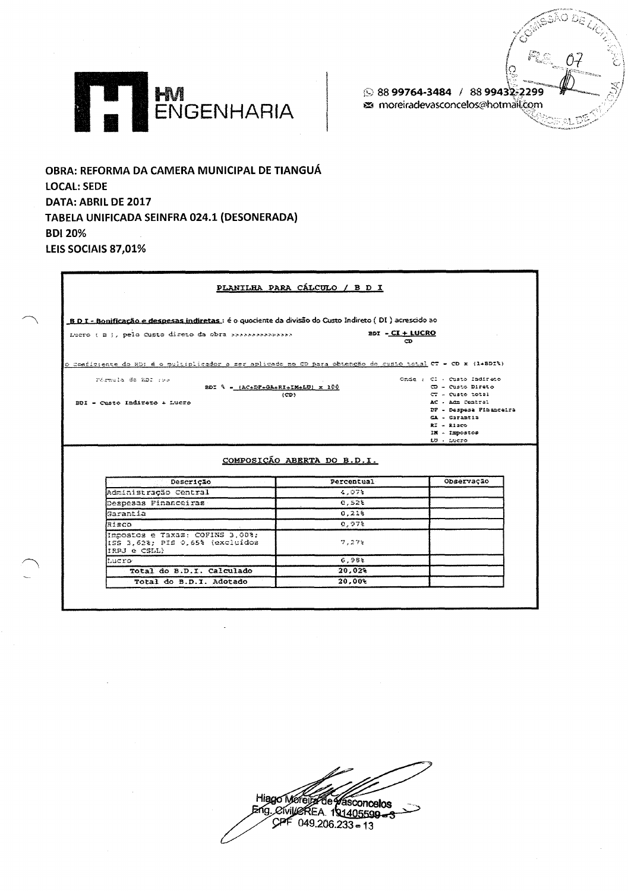S 88 99764-3484 / 88 99432-2299 s moreiradevasconcelos@hotmail.com 07



OBRA: REFORMA DA CAMERA MUNICIPAL DE TIANGUÁ **LOCAL: SEDE** DATA: ABRIL DE 2017 TABELA UNIFICADA SEINFRA 024.1 (DESONERADA) **BDI 20%** LEIS SOCIAIS 87,01%

| B D I - Bonificação e despesas indiretas : é o quociente da divisão do Custo Indireto (DI ) acrescido ao    |                                           |                             |
|-------------------------------------------------------------------------------------------------------------|-------------------------------------------|-----------------------------|
| Lucro ( B ), pela Custo diseto da obra >>>>>>>>>>>>>>>                                                      | BDI - CI + LUCRO                          | $\sim$                      |
| o Coeficiente do RDI é o multiplicador a ser aplicado no CD para obtenção do cumio total CT - CD x (14BDIR) |                                           |                             |
| remula de nos ess                                                                                           |                                           | Onde : Cl - Custo Indireto  |
| $BDI$ $\lambda = (AC+DP+GA+RI+IM+LO) \times 100$                                                            |                                           | $CD = Custo$ Direto         |
| (CD)                                                                                                        |                                           | $CT - Custo total$          |
| BDI - Custo Indireto + Lucro                                                                                |                                           | AC - Adm Contral            |
|                                                                                                             |                                           | DF - Despesa Financeira     |
|                                                                                                             |                                           | CA - Carantia               |
|                                                                                                             |                                           |                             |
|                                                                                                             |                                           | $R2 - R1200$                |
|                                                                                                             |                                           | IN - Impostos<br>LG - Lucro |
|                                                                                                             | COMPOSIÇÃO ABERTA DO B.D.I.<br>Percentual | Observação                  |
| Descricão                                                                                                   |                                           |                             |
| Administracão Central                                                                                       | 4.07%<br>0,528                            |                             |
| Despesas Financeiras<br>Garantia                                                                            | 0.218                                     |                             |
| Risco                                                                                                       | 0.978                                     |                             |
| Impostos e Taxas: COPINS 3.00%;<br>ISS 3,62%; PIS 0,65% (excluidos<br>IRPJ e CSLL)                          | 7.278                                     |                             |
| hucro-                                                                                                      | 6.981                                     |                             |
| Total do B.D.I. Calculado                                                                                   | 20.02%                                    |                             |

Hiago Moreum de Vasconcelos  $CPF$  049.206.233 = 13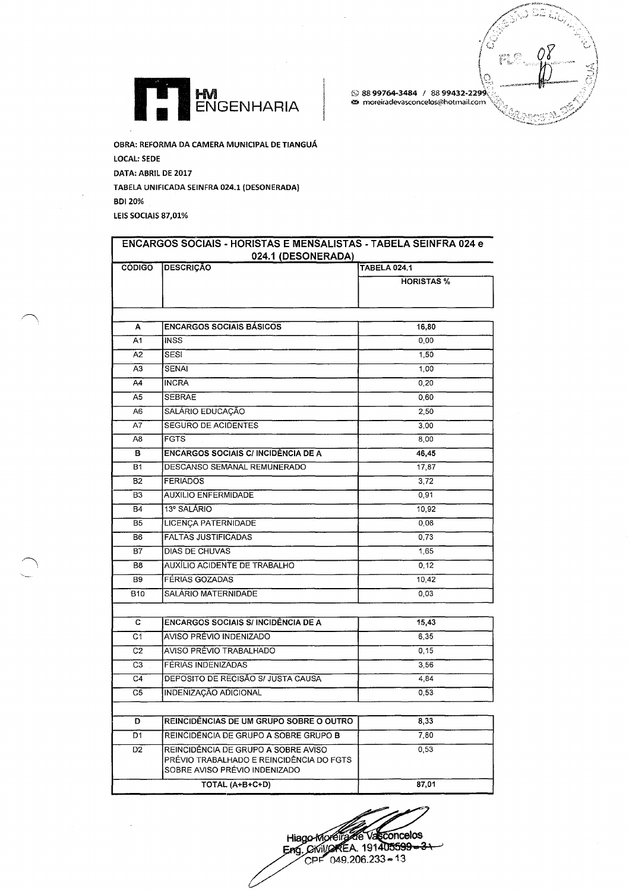



OBRA: REFORMA DA CAMERA MUNICIPAL DE TIANGUÁ LOCAL: SEDE DATA: ABRIL DE 2017 TABELA UNIFICADA SEINFRA 024.1 (DESONERADA) **BDI 20%** LEIS SOCIAIS 87,01%

| <b>CÓDIGO</b>              | <b>DESCRICÃO</b>                                                                                                 | <b>TABELA 024.1</b> |
|----------------------------|------------------------------------------------------------------------------------------------------------------|---------------------|
|                            |                                                                                                                  | <b>HORISTAS %</b>   |
|                            |                                                                                                                  |                     |
| A                          | <b>ENCARGOS SOCIAIS BÁSICOS</b>                                                                                  | 16,80               |
| A1                         | <b>INSS</b>                                                                                                      | 0,00                |
| A <sub>2</sub>             | SESI                                                                                                             | 1,50                |
| A3                         | <b>SENAI</b>                                                                                                     | 1.00                |
| A4                         | <b>INCRA</b>                                                                                                     | 0,20                |
| A5                         | <b>SEBRAE</b>                                                                                                    | 0,60                |
| A6                         | SALÁRIO EDUCAÇÃO                                                                                                 | 2,50                |
| A7                         | SEGURO DE ACIDENTES                                                                                              | 3,00                |
| A8                         | <b>FGTS</b>                                                                                                      | 8.00                |
| в                          | <b>ENCARGOS SOCIAIS C/ INCIDÊNCIA DE A</b>                                                                       | 46,45               |
| B1                         | DESCANSO SEMANAL REMUNERADO                                                                                      | 17,87               |
| $\overline{B2}$            | <b>FERIADOS</b>                                                                                                  | 3.72                |
| B <sub>3</sub>             | <b>AUXILIO ENFERMIDADE</b>                                                                                       | 0,91                |
| <b>B4</b>                  | 13º SALÁRIO                                                                                                      | 10.92               |
| <b>B5</b>                  | LICENÇA PATERNIDADE                                                                                              | 0,08                |
| B <sub>6</sub>             | <b>FALTAS JUSTIFICADAS</b>                                                                                       | 0,73                |
| $B\overline{7}$            | DIAS DE CHUVAS                                                                                                   | 1,65                |
| B8                         | AUXÍLIO ACIDENTE DE TRABALHO                                                                                     | 0.12                |
| <b>B9</b>                  | <b>FÉRIAS GOZADAS</b>                                                                                            | 10.42               |
| <b>B10</b>                 | <b>SALÁRIO MATERNIDADE</b>                                                                                       | 0,03                |
| c                          | <b>ENCARGOS SOCIAIS S/ INCIDÊNCIA DE A</b>                                                                       | 15.43               |
| $\overline{C1}$            | AVISO PRÉVIO INDENIZADO                                                                                          | 6,35                |
| $\overline{c}\overline{c}$ | AVISO PRÉVIO TRABALHADO                                                                                          | 0.15                |
| C3                         | FÉRIAS INDENIZADAS                                                                                               | 3,56                |
| C4                         | DEPOSITO DE RECISÃO S/ JUSTA CAUSA                                                                               | 4.84                |
| C5                         | INDENIZAÇÃO ADICIONAL                                                                                            | 0,53                |
|                            |                                                                                                                  |                     |
| D                          | REINCIDÊNCIAS DE UM GRUPO SOBRE O OUTRO                                                                          | 8,33                |
| D1                         | REINCIDÊNCIA DE GRUPO A SOBRE GRUPO B                                                                            | 7.80                |
| D <sub>2</sub>             | REINCIDÊNCIA DE GRUPO A SOBRE AVISO<br>PRÉVIO TRABALHADO E REINCIDÊNCIA DO FGTS<br>SOBRE AVISO PRÉVIO INDENIZADO | 0.53                |
|                            | TOTAL (A+B+C+D)                                                                                                  | 87,01               |

Hiago-Movella Vacconcelos<br>Eng. Civil/OKEA. 191405599-3-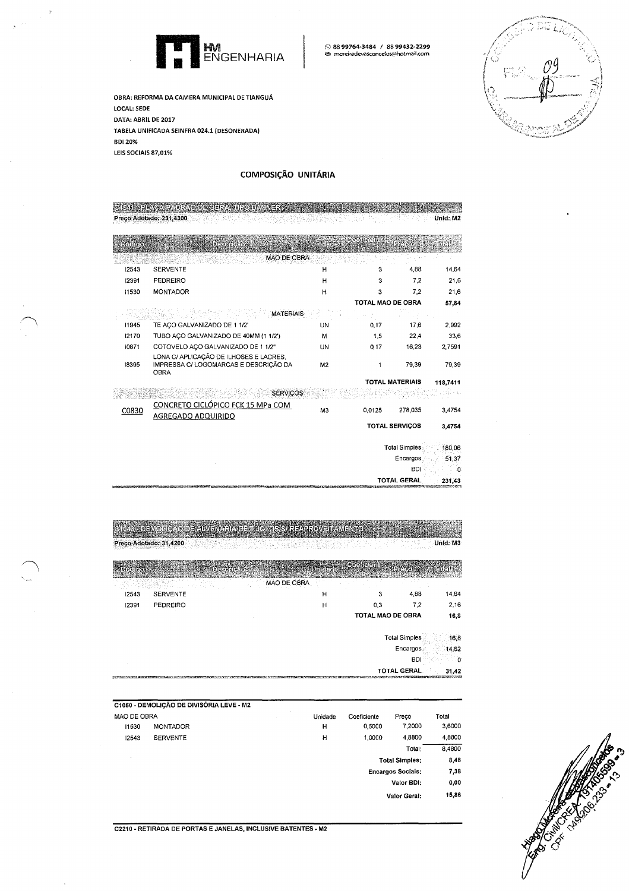

S 88 99764-3484 / 88 99432-2299<br>za moreiradevasconcelos@hotmail.com

OBRA: REFORMA DA CAMERA MUNICIPAL DE TIANGUÁ LOCAL: SEDE DATA: ABRIL DE 2017 TABELA UNIFICADA SEINFRA 024.1 (DESONERADA) **BDI 20%** LEIS SOCIAIS 87,01%

## COMPOSIÇÃO UNITÁRIA

| creigfe (s) | <b>DESMIRITOR</b>                                       | <b>Emerges</b> |                   |                        |          |
|-------------|---------------------------------------------------------|----------------|-------------------|------------------------|----------|
|             | <b>MAO DE OBRA</b>                                      |                |                   |                        |          |
| 12543       | <b>SERVENTE</b>                                         | н              | 3                 | 4.88                   | 14.64    |
| 12391       | <b>PEDREIRO</b>                                         | н              | 3                 | 7,2                    | 21.6     |
| 11530       | <b>MONTADOR</b>                                         | н              | 3                 | 7.2                    | 21,6     |
|             |                                                         |                | TOTAL MAO DE OBRA |                        | 57,84    |
|             | <b>MATERIAIS</b>                                        |                |                   |                        |          |
| 11945       | TE AÇO GALVANIZADO DE 1 1/2'                            | UN             | 0.17              | 17.6                   | 2.992    |
| 12170       | TUBO AÇO GALVANIZADO DE 40MM (1 1/2')                   | м              | 1.5               | 22.4                   | 33,6     |
| 10871       | COTOVELO AÇO GALVANIZADO DE 1 1/2"                      | UN             | 0.17              | 16.23                  | 2.7591   |
|             | LONA C/ APLICACÃO DE ILHOSES E LACRES.                  |                |                   |                        |          |
| 18395       | IMPRESSA C/ LOGOMARCAS E DESCRIÇÃO DA<br><b>OBRA</b>    | M <sub>2</sub> | 1                 | 79,39                  | 79.39    |
|             |                                                         |                |                   | <b>TOTAL MATERIAIS</b> | 118,7411 |
|             | <b>SERVICOS</b>                                         |                |                   |                        |          |
| C0830       | CONCRETO CICLÓPICO FCK 15 MPa COM<br>AGREGADO ADQUIRIDO | M <sub>3</sub> | 0.0125            | 278.035                | 3.4754   |
|             |                                                         |                |                   | <b>TOTAL SERVIÇOS</b>  | 3.4754   |
|             |                                                         |                |                   | <b>Total Simples</b>   | 180.06   |
|             |                                                         |                |                   | Encargos               | 51.37    |
|             |                                                         |                |                   | <b>BDI</b>             | n        |
|             |                                                         |                |                   | TOTAL GERAL            | 231.43   |

C1043 - DEMOUICAO DE ALVENARIA DE MBOLOS S/ REAPROVEITAMENTO Preço Adotado: 31,4200

Unid: M3

|       |                 | MAO DE OBRA |                   |      |       |
|-------|-----------------|-------------|-------------------|------|-------|
| 12543 | <b>SERVENTE</b> | н           |                   | 4,88 | 14,64 |
| 12391 | PEDREIRO        | н           | 0.3               | 7.2  | 2,16  |
|       |                 |             | TOTAL MAO DE OBRA |      | 16,8  |
|       |                 |             |                   |      |       |

Total Simples 16,8

Encargos 14 62

> **BDI** .o

**TOTAL GERAL**  $31,42$ 

|             | C1050 - DEMOLIÇÃO DE DIVISÓRIA LEVE - M2 |         |             |                          |        |
|-------------|------------------------------------------|---------|-------------|--------------------------|--------|
| MAO DE OBRA |                                          | Unidade | Coeficiente | Preco                    | Total  |
| 11530       | <b>MONTADOR</b>                          | н       | 0,5000      | 7,2000                   | 3,6000 |
| 12543       | <b>SERVENTE</b>                          | н       | 1,0000      | 4.8800                   | 4,8800 |
|             |                                          |         |             | Total:                   | 8,4800 |
|             |                                          |         |             | <b>Total Simples:</b>    | 8,48   |
|             |                                          |         |             | <b>Encargos Sociais:</b> | 7,38   |
|             |                                          |         |             | Valor BDI:               | 0,00   |
|             |                                          |         |             | Valor Geral:             | 15,86  |



C2210 - RETIRADA DE PORTAS E JANELAS, INCLUSIVE BATENTES - M2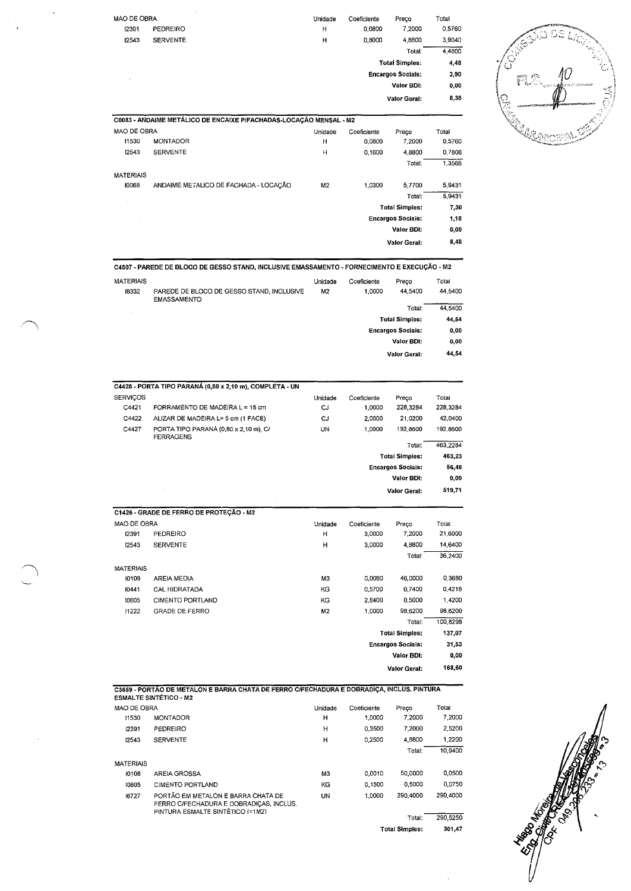| MAO DE OBRA |                                                                    | Unidade | Coeficiente | Preco                    | Total  |
|-------------|--------------------------------------------------------------------|---------|-------------|--------------------------|--------|
| 12391       | PEDREIRO                                                           | H       | 0.0800      | 7,2000                   | 0,5760 |
| 12543       | <b>SERVENTE</b>                                                    | н       | 0.8000      | 4.8800                   | 3,9040 |
|             |                                                                    |         |             | Total:                   | 4,4800 |
|             |                                                                    |         |             | <b>Total Simples:</b>    | 4,48   |
| ٠           |                                                                    |         |             | <b>Encargos Sociais:</b> | 3,90   |
|             |                                                                    |         |             | Valor BDI:               | 0.00   |
|             |                                                                    |         |             | <b>Valor Geral:</b>      | 8,38   |
|             | C0083 - ANDAIME METÁLICO DE ENCAIXE P/FACHADAS-LOCAÇÃO MENSAL - M2 |         |             |                          |        |
| MAO DE OBRA |                                                                    | Unidade | Coeficiente | Preco                    | Total  |



|             | C0083 - ANDAIME METÁLICO DE ENCAIXE P/FACHADAS-LOCAÇÃO MENSAL - M2 |                |             |                          |        |
|-------------|--------------------------------------------------------------------|----------------|-------------|--------------------------|--------|
| MAO DE OBRA |                                                                    | Unidade        | Coeficiente | Preco                    | Total  |
| 11530       | <b>MONTADOR</b>                                                    | Н              | 0.0800      | 7,2000                   | 0,5760 |
| 12543       | <b>SERVENTE</b>                                                    | H              | 0,1600      | 4,8800                   | 0,7808 |
|             |                                                                    |                |             | Total:                   | 1,3568 |
| MATERIAIS   |                                                                    |                |             |                          |        |
| 10068       | ANDAIME METALICO DE FACHADA - LOCACÃO                              | M <sub>2</sub> | 1.0300      | 5.7700                   | 5,9431 |
|             |                                                                    |                |             | Total:                   | 5.9431 |
|             |                                                                    |                |             | <b>Total Simples:</b>    | 7,30   |
|             |                                                                    |                |             | <b>Encargos Sociais:</b> | 1,18   |
|             |                                                                    |                |             | Valor BDI:               | 0,00   |
|             |                                                                    |                |             | Valor Geral:             | 8,48   |
|             |                                                                    |                |             |                          |        |

C4507 - PAREDE DE BLOCO DE GESSO STAND, INCLUSIVE EMASSAMENTO - FORNECIMENTO E EXECUÇÃO - M2

| <b>MATERIAIS</b><br>18332 | PAREDE DE BLOCO DE GESSO STAND, INCLUSIVE<br><b>EMASSAMENTO</b> | Unidade<br>M2 | Coeficiente<br>1,0000 | Preco<br>44,5400         | Total<br>44,5400 |
|---------------------------|-----------------------------------------------------------------|---------------|-----------------------|--------------------------|------------------|
|                           |                                                                 |               |                       | Total:                   | 44.5400          |
|                           |                                                                 |               |                       | <b>Total Simples:</b>    | 44,54            |
|                           |                                                                 |               |                       | <b>Encargos Sociais:</b> | 0,00             |
|                           |                                                                 |               |                       | Valor BDI:               | 0,00             |
|                           |                                                                 |               |                       | Valor Geral:             | 44,54            |

|                 | C4428 - PORTA TIPO PARANÁ (0,80 x 2,10 m), COMPLETA - UN  |         |             |                          |          |
|-----------------|-----------------------------------------------------------|---------|-------------|--------------------------|----------|
| <b>SERVICOS</b> |                                                           | Unidade | Coeficiente | Preco                    | Total    |
| C4421           | FORRAMENTO DE MADEIRA L = 15 cm                           | CJ      | 1,0000      | 228,3284                 | 228.3284 |
| C4422           | ALIZAR DE MADEIRA L= 5 cm (1 FACE)                        | CJ      | 2.0000      | 21,0200                  | 42,0400  |
| C4427           | PORTA TIPO PARANÁ (0,80 x 2,10 m), C/<br><b>FERRAGENS</b> | UN      | 1,0000      | 192,8600                 | 192,8600 |
|                 |                                                           |         |             | Total:                   | 463.2284 |
|                 |                                                           |         |             | <b>Total Simples:</b>    | 463,23   |
|                 |                                                           |         |             | <b>Encargos Sociais:</b> | 56,48    |
|                 |                                                           |         |             | Valor BDI:               | 0,00     |
|                 |                                                           |         |             | Valor Geral:             | 519,71   |
|                 |                                                           |         |             |                          |          |
|                 | C1426 - GRADE DE FERRO DE PROTECÃO - M2                   |         |             |                          |          |

|                  | C1420 - GRADE DE FERRO DE FROTECAO - M2 |         |             |                          |          |
|------------------|-----------------------------------------|---------|-------------|--------------------------|----------|
| MAO DE OBRA      |                                         | Unidade | Coeficiente | Preco                    | Total    |
| 12391            | <b>PEDREIRO</b>                         | н       | 3,0000      | 7,2000                   | 21,6000  |
| 12543            | <b>SERVENTE</b>                         | н       | 3,0000      | 4,8800                   | 14,6400  |
|                  |                                         |         |             | Total:                   | 36,2400  |
| <b>MATERIAIS</b> |                                         |         |             |                          |          |
| 10109            | AREIA MEDIA                             | ΜЗ      | 0,0080      | 46,0000                  | 0,3680   |
| 10441            | CAL HIDRATADA                           | KG      | 0.5700      | 0.7400                   | 0.4218   |
| 10805            | CIMENTO PORTLAND                        | KG      | 2,8400      | 0.5000                   | 1,4200   |
| 11222            | <b>GRADE DE FERRO</b>                   | M2      | 1,0000      | 98.6200                  | 98,6200  |
|                  |                                         |         |             | Total:                   | 100,8298 |
|                  |                                         |         |             | <b>Total Simples:</b>    | 137,07   |
|                  |                                         |         |             | <b>Encargos Sociais:</b> | 31,53    |
|                  |                                         |         |             | <b>Valor BDI:</b>        | 0,00     |
|                  |                                         |         |             | <b>Valor Geral:</b>      | 168,60   |

|                  | C3659 - PORTÃO DE METALON E BARRA CHATA DE FERRO CIFECHADURA E DOBRADIÇA, INCLUS, PINTURA<br><b>ESMALTE SINTÉTICO - M2</b> |         |             |          |          |
|------------------|----------------------------------------------------------------------------------------------------------------------------|---------|-------------|----------|----------|
| MAO DE OBRA      |                                                                                                                            | Unidade | Coeficiente | Preco    | Total    |
| 11530            | <b>MONTADOR</b>                                                                                                            | н       | 1.0000      | 7,2000   | 7.2000   |
| 12391            | PEDREIRO                                                                                                                   | н       | 0.3500      | 7,2000   | 2,5200   |
| 12543            | <b>SERVENTE</b>                                                                                                            | н       | 0.2500      | 4,8800   | 1,2200   |
|                  |                                                                                                                            |         |             | Total:   | 10,9400  |
| <b>MATERIAIS</b> |                                                                                                                            |         |             |          |          |
| 10108            | AREIA GROSSA                                                                                                               | M3      | 0.0010      | 50,0000  | 0,0500   |
| 10805            | CIMENTO PORTLAND                                                                                                           | KG      | 0.1500      | 0.5000   | 0.0750   |
| 16727            | PORTÃO EM METALON E BARRA CHATA DE<br>FERRO C/FECHADURA E DOBRADIÇAS, INCLUS.<br>PINTURA ESMALTE SINTÉTICO (=1M2)          | UN      | 1.0000      | 290.4000 | 290,4000 |
|                  |                                                                                                                            |         |             | Total:   | 290.5250 |



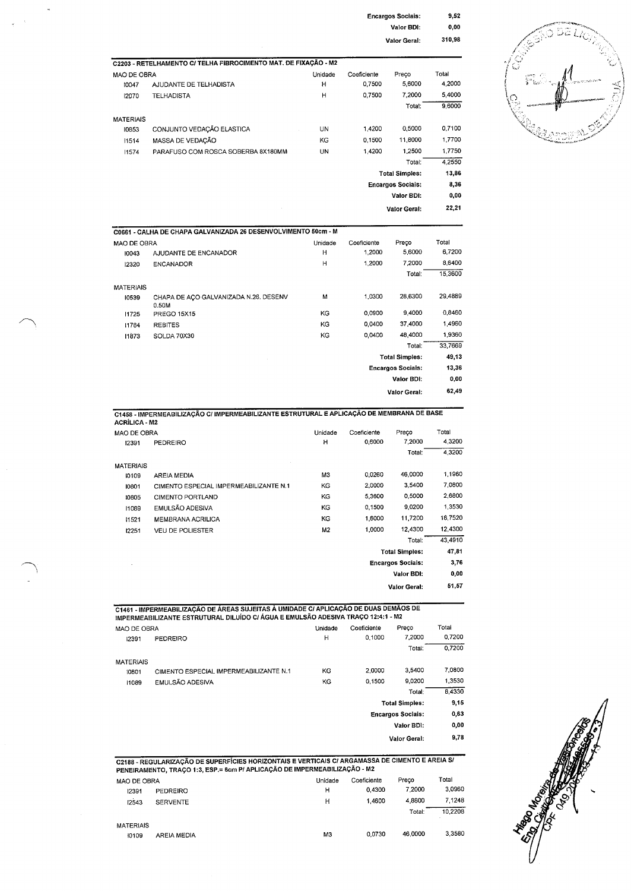| <b>Encargos Sociais:</b> | 9,52   |
|--------------------------|--------|
| Valor BDI:               | 0.00   |
| Valor Geral:             | 310,98 |

|                  | C2203 - RETELHAMENTO C/ TELHA FIBROCIMENTO MAT. DE FIXAÇÃO - M2 |         |             |                          |        |
|------------------|-----------------------------------------------------------------|---------|-------------|--------------------------|--------|
| MAO DE OBRA      |                                                                 | Unidade | Coeficiente | Preco                    | Total  |
| 10047            | AJUDANTE DE TELHADISTA                                          | н       | 0,7500      | 5,6000                   | 4,2000 |
| 12070            | <b>TELHADISTA</b>                                               | Н       | 0,7500      | 7.2000                   | 5,4000 |
|                  |                                                                 |         |             | Total:                   | 9,6000 |
| <b>MATERIAIS</b> |                                                                 |         |             |                          |        |
| 10853            | CONJUNTO VEDAÇÃO ELASTICA                                       | UN      | 1,4200      | 0.5000                   | 0,7100 |
| 11514            | MASSA DE VEDAÇÃO                                                | KG      | 0,1500      | 11,8000                  | 1,7700 |
| 11574            | PARAFUSO COM ROSCA SOBERBA 8X180MM                              | UN      | 1,4200      | 1,2500                   | 1,7750 |
|                  |                                                                 |         |             | Total:                   | 4,2550 |
|                  |                                                                 |         |             | <b>Total Simples:</b>    | 13,86  |
|                  |                                                                 |         |             | <b>Encargos Sociais:</b> | 8,36   |
|                  |                                                                 |         |             | Valor BDI:               | 0,00   |
|                  |                                                                 |         |             | <b>Valor Geral:</b>      | 22,21  |
|                  | C0661 - CALHA DE CHAPA GALVANIZADA 26 DESENVOLVIMENTO 50cm - M  |         |             |                          |        |
| MAO DE OBRA      |                                                                 | Unidade | Coeficiente | Preço                    | Total  |
| בו החו           | A ILIOANTE DE ENCANADOR                                         | н       | 1.2000      | 5.6000                   | 6.7200 |

 $\ddot{\phantom{1}}$ 

 $\bar{\beta}$  $\frac{1}{2}$ 



| MAO DE OBRA                                    | Unidade | Coeficiente                                                    | Preço      | Total                                                                    |
|------------------------------------------------|---------|----------------------------------------------------------------|------------|--------------------------------------------------------------------------|
| AJUDANTE DE ENCANADOR                          | н       | 1,2000                                                         | 5,6000     | 6,7200                                                                   |
| <b>ENCANADOR</b>                               | н       | 1,2000                                                         | 7,2000     | 8,6400                                                                   |
|                                                |         |                                                                | Total:     | 15,3600                                                                  |
|                                                |         |                                                                |            |                                                                          |
| CHAPA DE AÇO GALVANIZADA N.26. DESENV<br>0.50M | м       | 1.0300                                                         | 28,6300    | 29,4889                                                                  |
| <b>PREGO 15X15</b>                             | ΚG      | 0.0900                                                         | 9,4000     | 0.8460                                                                   |
| <b>REBITES</b>                                 | KG      | 0.0400                                                         | 37,4000    | 1,4960                                                                   |
| SOLDA 70X30                                    | KG      | 0.0400                                                         | 48,4000    | 1,9360                                                                   |
|                                                |         |                                                                | Total:     | 33,7669                                                                  |
|                                                |         |                                                                |            | 49,13                                                                    |
|                                                |         |                                                                |            | 13,36                                                                    |
|                                                |         |                                                                | Valor BDI: | 0,00                                                                     |
|                                                |         |                                                                |            | 62,49                                                                    |
|                                                |         | C0661 - CALHA DE CHAPA GALVANIZADA 26 DESENVOLVIMENTO 50cm - M |            | <b>Total Simples:</b><br><b>Encargos Sociais:</b><br><b>Valor Geral:</b> |

C1458 - IMPERMEABILIZAÇÃO C/ IMPERMEABILIZANTE ESTRUTURAL E APLICAÇÃO DE MEMBRANA DE BASE<br>ACRÍLICA - M2

| ----------  |                                        |                          |             |                       |         |
|-------------|----------------------------------------|--------------------------|-------------|-----------------------|---------|
| MAO DE OBRA |                                        | Unidade                  | Coeficiente | Preco                 | Total   |
| 12391       | <b>PEDREIRO</b>                        | н                        | 0,6000      | 7,2000                | 4,3200  |
|             |                                        |                          |             | Total:                | 4.3200  |
| MATERIAIS   |                                        |                          |             |                       |         |
| 10109       | <b>AREIA MEDIA</b>                     | M3                       | 0,0260      | 46,0000               | 1,1960  |
| 10801       | CIMENTO ESPECIAL IMPERMEABILIZANTE N.1 | KG                       | 2,0000      | 3,5400                | 7,0800  |
| 10805       | <b>CIMENTO PORTLAND</b>                | ΚG                       | 5,3600      | 0,5000                | 2,6800  |
| 11089       | EMULSÃO ADESIVA                        | ΚG                       | 0.1500      | 9,0200                | 1.3530  |
| 11521       | MEMBRANA ACRILICA                      | KG                       | 1,6000      | 11,7200               | 18,7520 |
| 12251       | <b>VEU DE POLIESTER</b>                | M <sub>2</sub>           | 1,0000      | 12,4300               | 12,4300 |
|             |                                        |                          |             | Total:                | 43,4910 |
|             |                                        |                          |             | <b>Total Simples:</b> | 47,81   |
|             |                                        | <b>Encargos Sociais:</b> |             |                       | 3,76    |
|             |                                        |                          |             | Valor BDI:            | 0,00    |
|             |                                        |                          |             | <b>Valor Geral:</b>   | 51,57   |

| MAO DE OBRA      |                                        | Unidade                  | Coeficiente       | Preço                 | Total  |
|------------------|----------------------------------------|--------------------------|-------------------|-----------------------|--------|
| 12391            | PEDREIRO                               | н                        | 0.1000            | 7.2000                | 0.7200 |
|                  |                                        |                          |                   | Total:                | 0.7200 |
| <b>MATERIAIS</b> |                                        |                          |                   |                       |        |
| 10801            | CIMENTO ESPECIAL IMPERMEABILIZANTE N.1 | KG                       | 2.0000            | 3,5400                | 7.0800 |
| 11089            | EMULSÃO ADESIVA                        | KG                       | 0.1500            | 9.0200                | 1,3530 |
|                  |                                        |                          |                   | Total:                | 8.4330 |
|                  |                                        |                          |                   | <b>Total Simples:</b> | 9,15   |
|                  |                                        | <b>Encargos Sociais:</b> |                   |                       | 0,63   |
|                  |                                        |                          | <b>Valor BDI:</b> |                       |        |
|                  |                                        |                          |                   | Valor Geral:          | 9,78   |

C2188 - REGULARIZAÇÃO DE SUPERFÍCIES HORIZONTAIS E VERTICAIS C/ ARGAMASSA DE CIMENTO E AREIA S/<br>PENEIRAMENTO, TRAÇO 1:3, ESP.= 6cm P/ APLICAÇÃO DE IMPERMEABILIZAÇÃO - M2

| MAO DE OBRA |                 | Unidade | Coeficiente | Preco   | Total             |
|-------------|-----------------|---------|-------------|---------|-------------------|
| 12391       | PEDREIRO        | н       | 0.4300      | 7.2000  | 3.0960            |
| 12543       | <b>SERVENTE</b> | Н       | 1.4600      | 4.8800  | 7.1248            |
|             |                 |         |             | Total:  | 10,2208<br>$\sim$ |
| MATERIAIS   |                 |         |             |         |                   |
| 10109       | AREIA MEDIA     | M3      | 0.0730      | 46,0000 | 3,3580            |

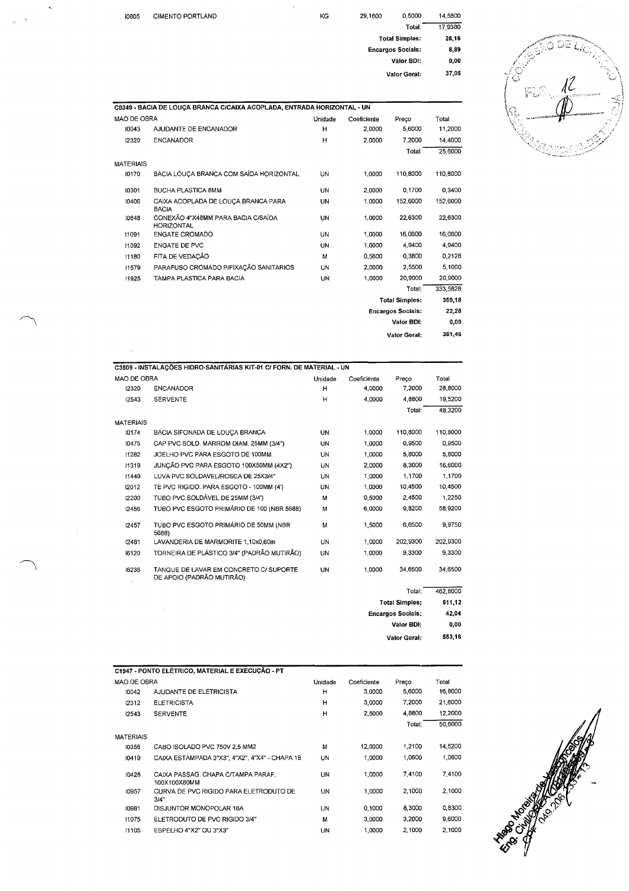| 10805       | <b>CIMENTO PORTLAND</b>                                                 | KG      | 29.1600     | 0.5000                   | 14,5800 |
|-------------|-------------------------------------------------------------------------|---------|-------------|--------------------------|---------|
|             |                                                                         |         |             | Total:                   | 17,9380 |
|             |                                                                         |         |             | <b>Total Simples:</b>    | 28,16   |
|             |                                                                         |         |             | <b>Encargos Sociais:</b> | 8,89    |
|             |                                                                         |         |             | Valor BDI:               | 0,00    |
|             |                                                                         |         |             | Valor Geral:             | 37,05   |
|             |                                                                         |         |             |                          |         |
|             | C0349 - BACIA DE LOUÇA BRANCA C/CAIXA ACOPLADA, ENTRADA HORIZONTAL - UN |         |             |                          |         |
| MAO DE OBRA |                                                                         | Unidade | Coeficiente | Preco                    | Total   |
| 10042       | A ILIOANITE DE ENCANADOD                                                | ш.      | n nnnn      | E GOOD                   | 11.2000 |

 $\ddot{\phantom{1}}$ 

l,

 $\bar{\lambda}$ 

| MAO DE OBRA      |                                                         | Unidade   | Coeficiente              | Preco                 | Total    |
|------------------|---------------------------------------------------------|-----------|--------------------------|-----------------------|----------|
| 10043            | AJUDANTE DE ENCANADOR                                   | н         | 2,0000                   | 5,6000                | 11,2000  |
| 12320            | <b>ENCANADOR</b>                                        | H         | 2,0000                   | 7,2000                | 14,4000  |
|                  |                                                         |           |                          | Total:                | 25,6000  |
| <b>MATERIAIS</b> |                                                         |           |                          |                       |          |
| 10170            | BACIA LOUÇA BRANCA COM SAÍDA HORIZONTAL                 | UN        | 1,0000                   | 110,8000              | 110,8000 |
| 10301            | <b>BUCHA PLASTICA 8MM</b>                               | UN        | 2,0000                   | 0,1700                | 0,3400   |
| 10406            | CAIXA ACOPLADA DE LOUÇA BRANCA PARA<br><b>BACIA</b>     | UN        | 1.0000                   | 152,6000              | 152,6000 |
| 10848            | CONEXÃO 4"X48MM PARA BACIA C/SAÍDA<br><b>HORIZONTAL</b> | UN        | 1,0000                   | 22,6300               | 22,6300  |
| 11091            | <b>ENGATE CROMADO</b>                                   | UN        | 1,0000                   | 16.0600               | 16,0600  |
| 11092            | <b>ENGATE DE PVC</b>                                    | UN        | 1,0000                   | 4.9400                | 4.9400   |
| 11180            | FITA DE VEDAÇÃO                                         | M         | 0,5600                   | 0.3800                | 0.2128   |
| 11579            | PARAFUSO CROMADO P/FIXAÇÃO SANITARIOS                   | UN        | 2.0000                   | 2,5500                | 5,1000   |
| 11925            | TAMPA PLASTICA PARA BACIA                               | <b>UN</b> | 1.0000                   | 20,9000               | 20,9000  |
|                  |                                                         |           |                          | Total:                | 333,5828 |
|                  |                                                         |           |                          | <b>Total Simples:</b> | 359,18   |
|                  |                                                         |           | <b>Encargos Sociais:</b> | 22,28                 |          |
|                  |                                                         |           |                          | Valor BDI:            | 0,00     |
|                  |                                                         |           |                          | <b>Valor Geral:</b>   | 381,46   |

| MAO DE OBRA      |                                                                     | Unidade | Coeficiente | Preço    | Total    |
|------------------|---------------------------------------------------------------------|---------|-------------|----------|----------|
| 12320            | <b>ENCANADOR</b>                                                    |         |             | 7.2000   |          |
|                  |                                                                     | н       | 4,0000      |          | 28,8000  |
| 12543            | <b>SERVENTE</b>                                                     | н       | 4.0000      | 4.8800   | 19,5200  |
|                  |                                                                     |         |             | Total:   | 48,3200  |
| <b>MATERIAIS</b> |                                                                     |         |             |          |          |
| 10174            | BACIA SIFONADA DE LOUCA BRANCA                                      | UN      | 1,0000      | 110,8000 | 110,8000 |
| 10475            | CAP PVC SOLD. MARROM DIAM, 25MM (3/4")                              | UN      | 1.0000      | 0,9500   | 0.9500   |
| 11282            | JOELHO PVC PARA ESGOTO DE 100MM                                     | 11N     | 1,0000      | 5,8000   | 5,8000   |
| 11319            | JUNCÃO PVC PARA ESGOTO 100X50MM (4X2")                              | UN      | 2,0000      | 8.3000   | 16,6000  |
| 11449            | LUVA PVC SOLDAVEL/ROSCA DE 25X3/4"                                  | UN      | 1.0000      | 1.1700   | 1.1700   |
| 12012            | TE PVC RIGIDO. PARA ESGOTO - 100MM (4')                             | UN      | 1,0000      | 10.4500  | 10.4500  |
| 12200            | TUBO PVC SOLDAVEL DE 25MM (3/4')                                    | м       | 0.5000      | 2.4500   | 1.2250   |
| 12456            | TUBO PVC ESGOTO PRIMÁRIO DE 100 (NBR 5688)                          | М       | 6,0000      | 9.8200   | 58.9200  |
| 12457            | TUBO PVC ESGOTO PRIMÁRIO DE 50MM (NBR<br>5688)                      | м       | 1,5000      | 6.6500   | 9.9750   |
| 12481            | LAVANDERIA DE MARMORITE 1,10x0,60m                                  | UN      | 1,0000      | 202,9300 | 202,9300 |
| 16120            | TORNEIRA DE PLÁSTICO 3/4" (PADRÃO MUTIRÃO)                          | UN      | 1.0000      | 9.3300   | 9,3300   |
| 16236            | TANQUE DE LAVAR EM CONCRETO C/ SUPORTE<br>DE APOIO (PADRÃO MUTIRÃO) | UN      | 1.0000      | 34.6500  | 34,6500  |
|                  |                                                                     |         |             | Total:   | 462,8000 |

| 462,8000 | Total:                   |  |
|----------|--------------------------|--|
| 511.12   | <b>Total Simples:</b>    |  |
| 42,04    | <b>Encargos Sociais:</b> |  |
| 0,00     | Valor BDI:               |  |
| 553,16   | <b>Valor Geral:</b>      |  |
|          |                          |  |

|                  | C1947 - PONTO ELÉTRICO, MATERIAL E EXECUÇÃO - PT   |         |             |        |         |
|------------------|----------------------------------------------------|---------|-------------|--------|---------|
| MAO DE OBRA      |                                                    | Unidade | Coeficiente | Preço  | Total   |
| 10042            | AJUDANTE DE ELETRICISTA                            | н       | 3,0000      | 5,6000 | 16,8000 |
| 12312            | <b>ELETRICISTA</b>                                 | н       | 3,0000      | 7.2000 | 21,6000 |
| 12543            | <b>SERVENTE</b>                                    | н       | 2,5000      | 4.8800 | 12,2000 |
|                  |                                                    |         |             | Total: | 50,6000 |
| <b>MATERIAIS</b> |                                                    |         |             |        |         |
| 10356            | CABO ISOLADO PVC 750V 2.5 MM2                      | м       | 12,0000     | 1,2100 | 14,5200 |
| 10419            | CAIXA ESTAMPADA 3"X3", 4"X2", 4"X4" - CHAPA 18     | UN      | 1.0000      | 1.0600 | 1,0600  |
| 10428            | CAIXA PASSAG, CHAPA C/TAMPA PARAF.<br>100X100X80MM | UN      | 1.0000      | 7,4100 | 7,4100  |
| 10957            | CURVA DE PVC RIGIDO PARA ELETRODUTO DE<br>3/4"     | UN      | 1,0000      | 2,1000 | 2,1000  |
| 10981            | DISJUNTOR MONOPOLAR 16A                            | UN      | 0.1000      | 8,3000 | 0.8300  |
| 11075            | ELETRODUTO DE PVC RIGIDO 3/4"                      | м       | 3,0000      | 3.2000 | 9.6000  |
| 11105            | ESPELHO 4"X2" OU 3"X3"                             | UN      | 1,0000      | 2,1000 | 2,1000  |



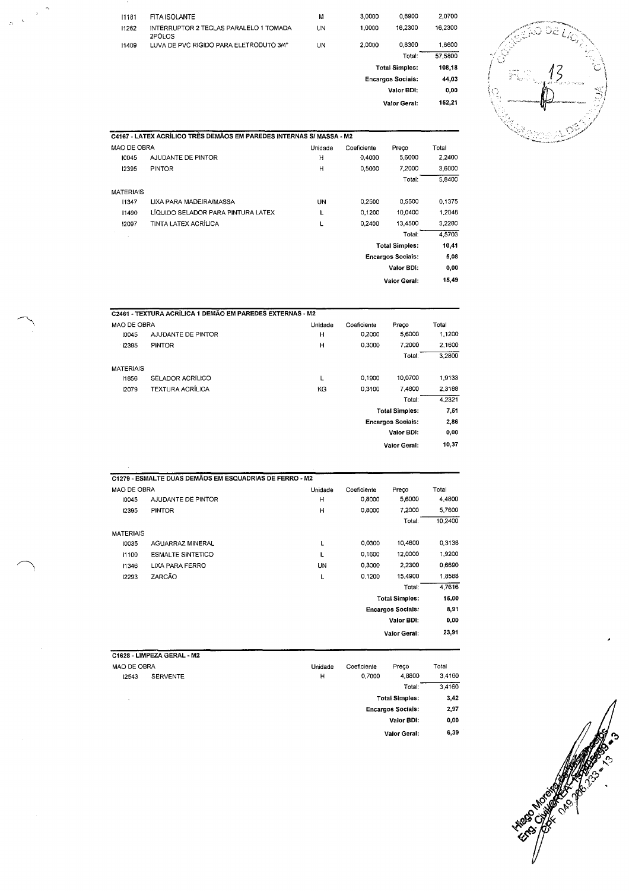|                                 | 2.0700  | 0.6900                   | 3,0000 | м  | FITA ISOLANTE                                    | 11181 |
|---------------------------------|---------|--------------------------|--------|----|--------------------------------------------------|-------|
| تمارعا                          | 16.2300 | 16,2300                  | 1.0000 | UN | INTERRUPTOR 2 TECLAS PARALELO 1 TOMADA<br>2POLOS | 11262 |
| 5 S.                            | 1,6600  | 0.8300                   | 2,0000 | UN | LUVA DE PVC RIGIDO PARA ELETRODUTO 3/4"          | 11409 |
| $\alpha$ , $\beta$<br>أتحددهم   | 57,5800 | Total:                   |        |    |                                                  |       |
| 医空气管                            | 108,18  | <b>Total Simples:</b>    |        |    |                                                  |       |
| n Bern<br>4007                  | 44,03   | <b>Encargos Sociais:</b> |        |    |                                                  |       |
| -14                             | 0,00    | Valor BDI:               |        |    |                                                  |       |
| <b>STEPHONEO.SOLL PASSAGETS</b> | 152,21  | Valor Geral:             |        |    |                                                  |       |
|                                 |         |                          |        |    |                                                  |       |



|                    | C4167 - LATEX ACRÍLICO TRÊS DEMÃOS EM PAREDES INTERNAS S/ MASSA - M2 |           |             |                          |        |
|--------------------|----------------------------------------------------------------------|-----------|-------------|--------------------------|--------|
| <b>MAO DE OBRA</b> |                                                                      | Unidade   | Coeficiente | Preco                    | Total  |
| 10045              | AJUDANTE DE PINTOR                                                   | Η         | 0,4000      | 5,6000                   | 2,2400 |
| 12395              | <b>PINTOR</b>                                                        | н         | 0.5000      | 7,2000                   | 3,6000 |
|                    |                                                                      |           |             | Total:                   | 5,8400 |
| <b>MATERIAIS</b>   |                                                                      |           |             |                          |        |
| 11347              | LIXA PARA MADEIRA/MASSA                                              | <b>UN</b> | 0,2500      | 0.5500                   | 0,1375 |
| 11490              | LÍQUIDO SELADOR PARA PINTURA LATEX                                   | L         | 0.1200      | 10,0400                  | 1,2048 |
| 12097              | TINTA LATEX ACRÍLICA                                                 | L         | 0.2400      | 13,4500                  | 3,2280 |
|                    |                                                                      |           |             | Total:                   | 4.5703 |
|                    |                                                                      |           |             | <b>Total Simples:</b>    | 10,41  |
|                    |                                                                      |           |             | <b>Encargos Sociais:</b> | 5,08   |
|                    |                                                                      |           |             | Valor BDI:               | 0,00   |
|                    |                                                                      |           |             | <b>Valor Geral:</b>      | 15,49  |

|                  | C2461 - TEXTURA ACRÍLICA 1 DEMÃO EM PAREDES EXTERNAS - M2 |         |             |                          |        |
|------------------|-----------------------------------------------------------|---------|-------------|--------------------------|--------|
| MAO DE OBRA      |                                                           | Unidade | Coeficiente | Preco                    | Total  |
| 10045            | AJUDANTE DE PINTOR                                        | н       | 0.2000      | 5,6000                   | 1,1200 |
| 12395            | <b>PINTOR</b>                                             | н       | 0,3000      | 7.2000                   | 2,1600 |
|                  |                                                           |         |             | Total:                   | 3.2800 |
| <b>MATERIAIS</b> |                                                           |         |             |                          |        |
| 1856             | SELADOR ACRÍLICO                                          | L       | 0.1900      | 10,0700                  | 1,9133 |
| 12079            | <b>TEXTURA ACRÍLICA</b>                                   | KG      | 0.3100      | 7,4800                   | 2,3188 |
|                  |                                                           |         |             | Total:                   | 4,2321 |
|                  |                                                           |         |             | <b>Total Simples:</b>    | 7.51   |
|                  |                                                           |         |             | <b>Encargos Sociais:</b> | 2,86   |
|                  |                                                           |         |             | Valor BDI:               | 0,00   |
|                  |                                                           |         |             | <b>Valor Geral:</b>      | 10,37  |

|                  | C1279 - ESMALTE DUAS DEMÃOS EM ESQUADRIAS DE FERRO - M2 |         |             |                          |         |
|------------------|---------------------------------------------------------|---------|-------------|--------------------------|---------|
| MAO DE OBRA      |                                                         | Unidade | Coeficiente | Preco                    | Total   |
| 10045            | AJUDANTE DE PINTOR                                      | H       | 0.8000      | 5,6000                   | 4.4800  |
| 12395            | <b>PINTOR</b>                                           | н       | 0.8000      | 7,2000                   | 5,7600  |
|                  |                                                         |         |             | Total:                   | 10,2400 |
| <b>MATERIAIS</b> |                                                         |         |             |                          |         |
| 10035            | <b>AGUARRAZ MINERAL</b>                                 | L       | 0,0300      | 10,4600                  | 0,3138  |
| 11100            | <b>ESMALTE SINTETICO</b>                                | L       | 0,1600      | 12,0000                  | 1.9200  |
| 11346            | LIXA PARA FERRO                                         | UN      | 0,3000      | 2,2300                   | 0.6690  |
| 12293            | ZARCÃO                                                  | L       | 0.1200      | 15,4900                  | 1,8588  |
|                  |                                                         |         |             | Total:                   | 4,7616  |
|                  |                                                         |         |             | <b>Total Simples:</b>    | 15,00   |
|                  |                                                         |         |             | <b>Encargos Socials:</b> | 8,91    |
|                  |                                                         |         |             | Valor BDI:               | 0,00    |
|                  |                                                         |         |             | <b>Valor Geral:</b>      | 23,91   |

## C1628 - LIMPEZA GERAL - M2

| MAO DE OBRA |                 | Unidade | Coeficiente | Preco                    | Total  |
|-------------|-----------------|---------|-------------|--------------------------|--------|
| 12543       | <b>SERVENTE</b> | Н       | 0.7000      | 4,8800                   | 3.4160 |
|             |                 |         |             | Total:                   | 3.4160 |
| $\sim$      |                 |         |             | <b>Total Simples:</b>    | 3,42   |
|             |                 |         |             | <b>Encargos Socials:</b> | 2,97   |
|             |                 |         |             | Valor BDI:               | 0,00   |
|             |                 |         |             | Valor Geral:             | 6,39   |

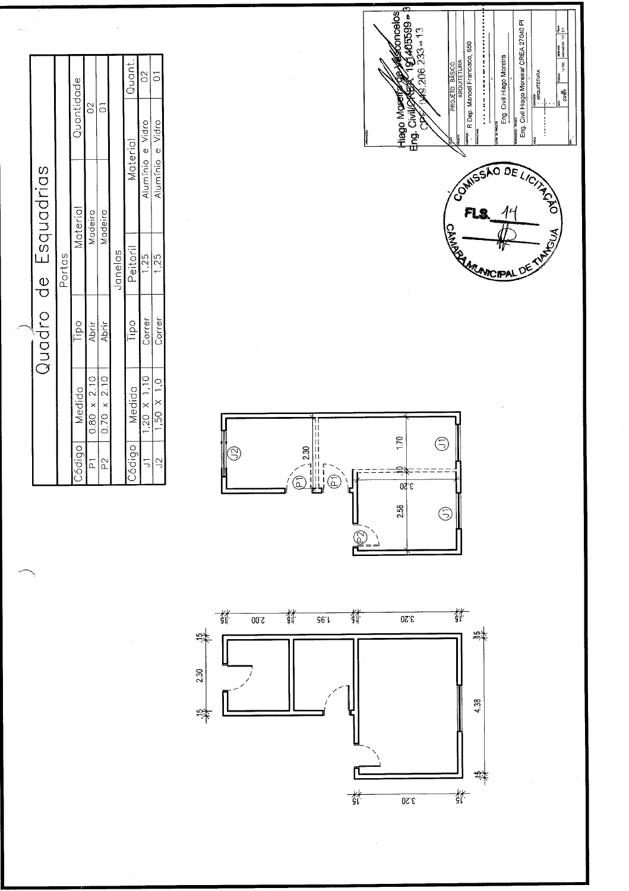





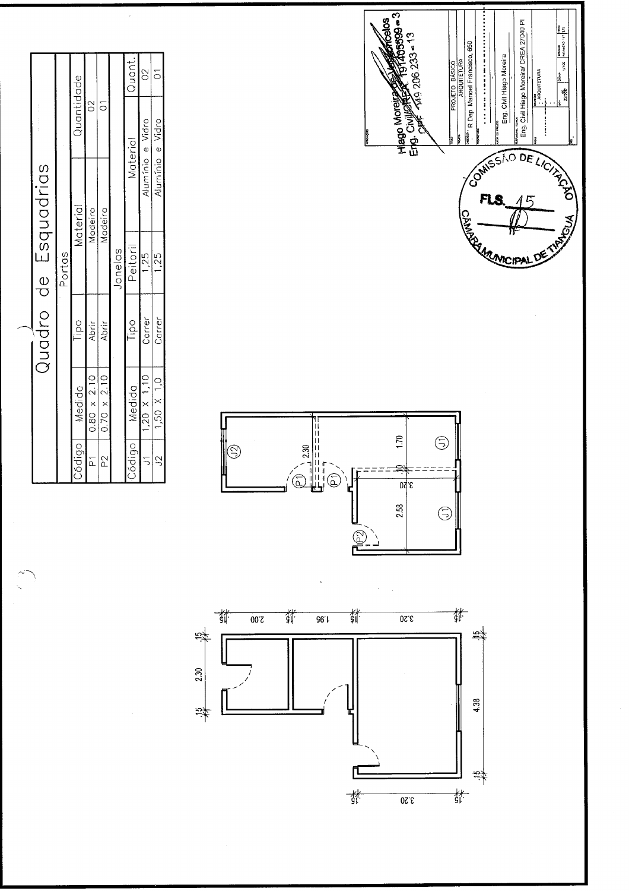

Esquadrias  $\frac{0}{\sigma}$ Quadro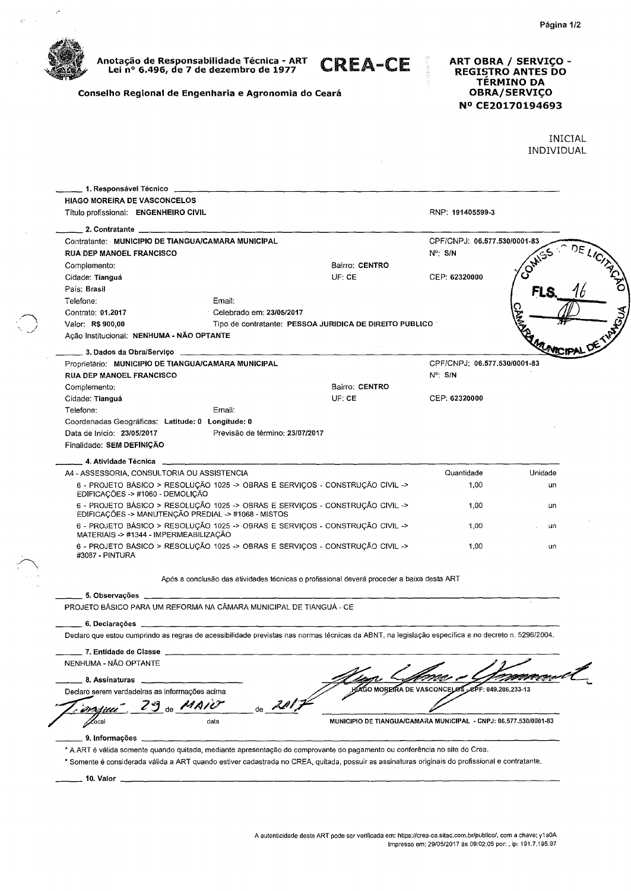

 $\mathcal{C}$ 

 $\mathcal{Q}^{n}=\mathcal{Q}^{n}$ 

**Anotacão de Responsabilidade Técnica - ART Lei no 6.496, de 7 de dezembro de 1977** 

**CREA-CE** 

**Conseiho Regional de Engenharia e Agronomia do Ceará** 

## **ART OBRA** / **SERVIO** - **REGISTRO ANTES DO TERMINO DA OBRA/SERVIÇO NO CE20170194693**

INICIAL INDIVIDUAL

| Título profissional: ENGENHEIRO CIVIL                            |                                                                                                                                      |                                                                                                                                                    | RNP: 191405599-3             |         |  |
|------------------------------------------------------------------|--------------------------------------------------------------------------------------------------------------------------------------|----------------------------------------------------------------------------------------------------------------------------------------------------|------------------------------|---------|--|
|                                                                  |                                                                                                                                      |                                                                                                                                                    |                              |         |  |
|                                                                  | Contratante: MUNICIPIO DE TIANGUA/CAMARA MUNICIPAL                                                                                   |                                                                                                                                                    | CPF/CNPJ: 06.577.530/0001-83 |         |  |
| <b>RUA DEP MANOEL FRANCISCO</b>                                  |                                                                                                                                      |                                                                                                                                                    | $N^{\circ}$ : S/N            |         |  |
| Complemento:                                                     |                                                                                                                                      | Bairro: CENTRO                                                                                                                                     |                              |         |  |
| Cidade: Tianguá                                                  |                                                                                                                                      | UF: CE                                                                                                                                             | CEP: 62320000                |         |  |
| País: Brasil                                                     |                                                                                                                                      |                                                                                                                                                    |                              |         |  |
| Telefone:                                                        | Email:                                                                                                                               |                                                                                                                                                    |                              |         |  |
| Contrato: 01.2017                                                | Celebrado em: 23/05/2017                                                                                                             |                                                                                                                                                    |                              |         |  |
| Valor: R\$ 900,00                                                |                                                                                                                                      | Tipo de contratante: PESSOA JURIDICA DE DIREITO PUBLICO                                                                                            |                              |         |  |
| Acão Institucional: NENHUMA - NÃO OPTANTE                        |                                                                                                                                      |                                                                                                                                                    |                              |         |  |
|                                                                  |                                                                                                                                      |                                                                                                                                                    |                              |         |  |
|                                                                  | Proprietário: MUNICIPIO DE TIANGUA/CAMARA MUNICIPAL                                                                                  |                                                                                                                                                    | CPF/CNPJ: 06.577.530/0001-83 |         |  |
| <b>RUA DEP MANOEL FRANCISCO</b>                                  |                                                                                                                                      |                                                                                                                                                    | $N^{\circ}$ : S/N            |         |  |
| Complemento:                                                     |                                                                                                                                      | Bairro: CENTRO                                                                                                                                     |                              |         |  |
| Cidade: Tianguá                                                  |                                                                                                                                      | UF: CE                                                                                                                                             | CEP: 62320000                |         |  |
| Telefone:                                                        | Email:                                                                                                                               |                                                                                                                                                    |                              |         |  |
| Coordenadas Geográficas: Latitude: 0 Longitude: 0                |                                                                                                                                      |                                                                                                                                                    |                              |         |  |
| Data de Início: 23/05/2017                                       | Previsão de término: 23/07/2017                                                                                                      |                                                                                                                                                    |                              |         |  |
| Finalidade: SEM DEFINIÇÃO                                        |                                                                                                                                      |                                                                                                                                                    |                              |         |  |
|                                                                  |                                                                                                                                      |                                                                                                                                                    |                              |         |  |
| A4 - ASSESSORIA, CONSULTORIA OU ASSISTENCIA                      |                                                                                                                                      |                                                                                                                                                    | Quantidade                   | Unidade |  |
| EDIFICAÇÕES -> #1060 - DEMOLIÇÃO                                 | 6 - PROJETO BÁSICO > RESOLUÇÃO 1025 -> OBRAS E SERVIÇOS - CONSTRUÇÃO CIVIL ->                                                        |                                                                                                                                                    | 1,00                         | un      |  |
|                                                                  | 6 - PROJETO BÁSICO > RESOLUÇÃO 1025 -> OBRAS E SERVIÇOS - CONSTRUÇÃO CIVIL -><br>EDIFICAÇÕES -> MANUTENÇÃO PREDIAL -> #1068 - MISTOS |                                                                                                                                                    | 1.00                         | un      |  |
| MATERIAIS -> #1344 - IMPERMEABILIZAÇÃO                           | 6 - PROJETO BÁSICO > RESOLUÇÃO 1025 -> OBRAS E SERVIÇOS - CONSTRUÇÃO CIVIL ->                                                        |                                                                                                                                                    | 1,00                         | un      |  |
| #3087 - PINTURA                                                  | 6 - PROJETO BÁSICO > RESOLUÇÃO 1025 -> OBRAS E SERVIÇOS - CONSTRUÇÃO CIVIL ->                                                        |                                                                                                                                                    | 1.00                         | un      |  |
|                                                                  |                                                                                                                                      | Após a conclusão das atividades técnicas o profissional deverá proceder a baixa desta ART                                                          |                              |         |  |
|                                                                  | 5. Observações et al. et al. et al. et al. et al. et al. et al. et al. et al. et al. et al. et al. et al. et a                       |                                                                                                                                                    |                              |         |  |
|                                                                  | PROJETO BÁSICO PARA UM REFORMA NA CÂMARA MUNICIPAL DE TIANGUÁ - CE                                                                   |                                                                                                                                                    |                              |         |  |
|                                                                  |                                                                                                                                      |                                                                                                                                                    |                              |         |  |
|                                                                  |                                                                                                                                      | Declaro que estou cumprindo as regras de acessibilidade previstas nas normas técnicas da ABNT, na legislação específica e no decreto n. 5296/2004. |                              |         |  |
| _ 7. Entidade de Classe ___                                      |                                                                                                                                      |                                                                                                                                                    |                              |         |  |
| NENHUMA - NÃO OPTANTE                                            |                                                                                                                                      |                                                                                                                                                    |                              |         |  |
|                                                                  |                                                                                                                                      |                                                                                                                                                    |                              |         |  |
| 8. Assinaturas<br>Declaro serem verdadeiras as informações acima |                                                                                                                                      | <b>HIAGO MOREIRA DE VASCONCELOS</b>                                                                                                                | ÆPF: 049.206.233-13.         |         |  |
|                                                                  | $de$ <sub>2</sub> 201<br>29 de MAIU                                                                                                  |                                                                                                                                                    |                              |         |  |
| $\mathcal{L}$ ocal                                               | data                                                                                                                                 | MUNICIPIO DE TIANGUA/CAMARA MUNICIPAL - CNPJ: 06.577.530/0001-83                                                                                   |                              |         |  |
| 9. Informações                                                   |                                                                                                                                      | * A ART é válida somente quando quitada, mediante apresentação do comprovante do pagamento ou conferência no site do Crea.                         |                              |         |  |
|                                                                  |                                                                                                                                      |                                                                                                                                                    |                              |         |  |